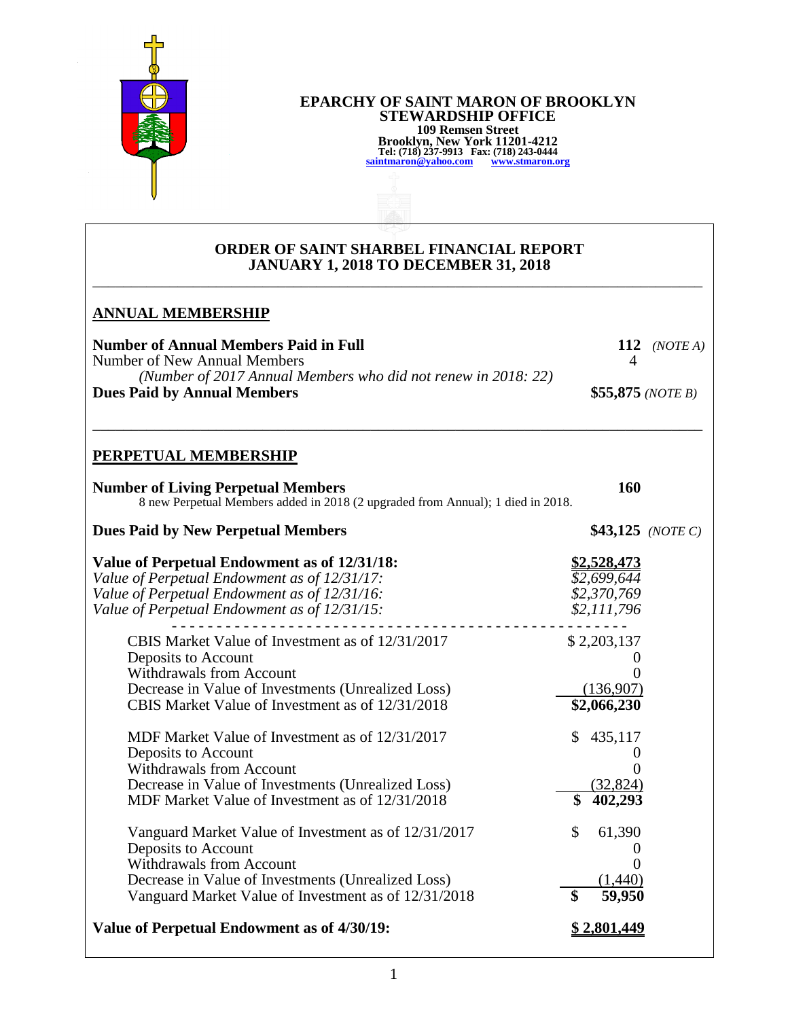

# **EPARCHY OF SAINT MARON OF BROOKLYN STEWARDSHIP OFFICE 109 Remsen Street Brooklyn, New York 11201-4212 Tel: (718) 237-9913 Fax: (718) 243-0444 [saintmaron@yahoo.com](mailto:saintmaron@yahoo.com) [www.stmaron.org](http://www.stmaron.org/)**

#### **ORDER OF SAINT SHARBEL FINANCIAL REPORT JANUARY 1, 2018 TO DECEMBER 31, 2018** \_\_\_\_\_\_\_\_\_\_\_\_\_\_\_\_\_\_\_\_\_\_\_\_\_\_\_\_\_\_\_\_\_\_\_\_\_\_\_\_\_\_\_\_\_\_\_\_\_\_\_\_\_\_\_\_\_\_\_\_\_\_\_\_\_\_\_\_\_\_\_\_\_\_\_\_\_\_\_

### **ANNUAL MEMBERSHIP**

| Number of Annual Members Paid in Full                         | 112 ( <i>NOTE A</i> )      |
|---------------------------------------------------------------|----------------------------|
| Number of New Annual Members                                  |                            |
| (Number of 2017 Annual Members who did not renew in 2018: 22) |                            |
| <b>Dues Paid by Annual Members</b>                            | \$55,875 ( <i>NOTE B</i> ) |

\_\_\_\_\_\_\_\_\_\_\_\_\_\_\_\_\_\_\_\_\_\_\_\_\_\_\_\_\_\_\_\_\_\_\_\_\_\_\_\_\_\_\_\_\_\_\_\_\_\_\_\_\_\_\_\_\_\_\_\_\_\_\_\_\_\_\_\_\_\_\_\_\_\_\_\_\_\_\_

## **PERPETUAL MEMBERSHIP**

| <b>Number of Living Perpetual Members</b>                                       | 160 |  |
|---------------------------------------------------------------------------------|-----|--|
| 8 new Perpetual Members added in 2018 (2 upgraded from Annual); 1 died in 2018. |     |  |

# **Dues Paid by New Perpetual Members** \$43,125 *(NOTE C)*

| Value of Perpetual Endowment as of 12/31/18:         | <u>52,528,473</u>         |
|------------------------------------------------------|---------------------------|
| Value of Perpetual Endowment as of 12/31/17:         | \$2,699,644               |
| Value of Perpetual Endowment as of 12/31/16:         | \$2,370,769               |
| Value of Perpetual Endowment as of 12/31/15:         | \$2,111,796               |
| CBIS Market Value of Investment as of 12/31/2017     | \$2,203,137               |
| Deposits to Account                                  |                           |
| <b>Withdrawals from Account</b>                      |                           |
| Decrease in Value of Investments (Unrealized Loss)   | (136,907)                 |
| CBIS Market Value of Investment as of 12/31/2018     | \$2,066,230               |
| MDF Market Value of Investment as of 12/31/2017      | 435,117<br>$\mathbb{S}^-$ |
| Deposits to Account                                  |                           |
| <b>Withdrawals from Account</b>                      |                           |
| Decrease in Value of Investments (Unrealized Loss)   | (32, 824)                 |
| MDF Market Value of Investment as of 12/31/2018      | \$<br>402,293             |
| Vanguard Market Value of Investment as of 12/31/2017 | \$<br>61,390              |
| Deposits to Account                                  |                           |
| <b>Withdrawals from Account</b>                      |                           |
| Decrease in Value of Investments (Unrealized Loss)   | 1,440                     |
| Vanguard Market Value of Investment as of 12/31/2018 | \$<br>59,950              |
| Value of Perpetual Endowment as of 4/30/19:          | <u>\$2,801,449</u>        |